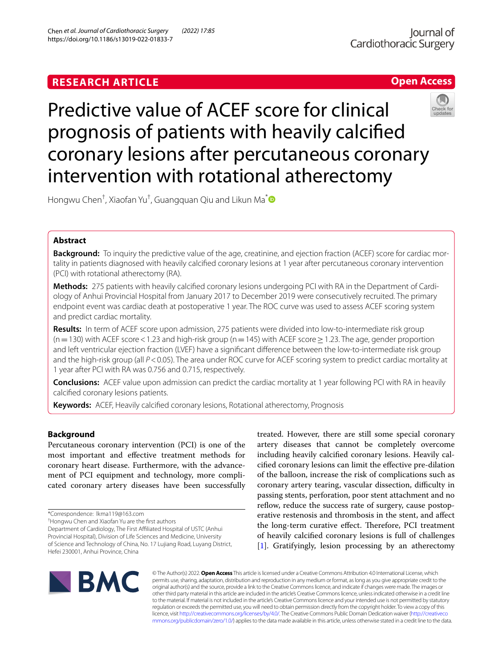# **RESEARCH ARTICLE**



# Predictive value of ACEF score for clinical prognosis of patients with heavily calcifed coronary lesions after percutaneous coronary intervention with rotational atherectomy

Hongwu Chen† , Xiaofan Yu† , Guangquan Qiu and Likun Ma[\\*](http://orcid.org/0000-0003-2921-3387)

# **Abstract**

**Background:** To inquiry the predictive value of the age, creatinine, and ejection fraction (ACEF) score for cardiac mortality in patients diagnosed with heavily calcifed coronary lesions at 1 year after percutaneous coronary intervention (PCI) with rotational atherectomy (RA).

**Methods:** 275 patients with heavily calcifed coronary lesions undergoing PCI with RA in the Department of Cardiology of Anhui Provincial Hospital from January 2017 to December 2019 were consecutively recruited. The primary endpoint event was cardiac death at postoperative 1 year. The ROC curve was used to assess ACEF scoring system and predict cardiac mortality.

**Results:** In term of ACEF score upon admission, 275 patients were divided into low-to-intermediate risk group  $(n=130)$  with ACEF score < 1.23 and high-risk group (n = 145) with ACEF score  $\geq$  1.23. The age, gender proportion and left ventricular ejection fraction (LVEF) have a signifcant diference between the low-to-intermediate risk group and the high-risk group (all *P*<0.05). The area under ROC curve for ACEF scoring system to predict cardiac mortality at 1 year after PCI with RA was 0.756 and 0.715, respectively.

**Conclusions:** ACEF value upon admission can predict the cardiac mortality at 1 year following PCI with RA in heavily calcifed coronary lesions patients.

**Keywords:** ACEF, Heavily calcifed coronary lesions, Rotational atherectomy, Prognosis

# **Background**

Percutaneous coronary intervention (PCI) is one of the most important and efective treatment methods for coronary heart disease. Furthermore, with the advancement of PCI equipment and technology, more complicated coronary artery diseases have been successfully

† Hongwu Chen and Xiaofan Yu are the frst authors

Department of Cardiology, The First Afliated Hospital of USTC (Anhui Provincial Hospital), Division of Life Sciences and Medicine, University of Science and Technology of China, No. 17 Lujiang Road, Luyang District, Hefei 230001, Anhui Province, China

treated. However, there are still some special coronary artery diseases that cannot be completely overcome including heavily calcifed coronary lesions. Heavily calcifed coronary lesions can limit the efective pre-dilation of the balloon, increase the risk of complications such as coronary artery tearing, vascular dissection, difficulty in passing stents, perforation, poor stent attachment and no reflow, reduce the success rate of surgery, cause postoperative restenosis and thrombosis in the stent, and afect the long-term curative effect. Therefore, PCI treatment of heavily calcifed coronary lesions is full of challenges [[1\]](#page-5-0). Gratifyingly, lesion processing by an atherectomy



© The Author(s) 2022. **Open Access** This article is licensed under a Creative Commons Attribution 4.0 International License, which permits use, sharing, adaptation, distribution and reproduction in any medium or format, as long as you give appropriate credit to the original author(s) and the source, provide a link to the Creative Commons licence, and indicate if changes were made. The images or other third party material in this article are included in the article's Creative Commons licence, unless indicated otherwise in a credit line to the material. If material is not included in the article's Creative Commons licence and your intended use is not permitted by statutory regulation or exceeds the permitted use, you will need to obtain permission directly from the copyright holder. To view a copy of this licence, visit [http://creativecommons.org/licenses/by/4.0/.](http://creativecommons.org/licenses/by/4.0/) The Creative Commons Public Domain Dedication waiver ([http://creativeco](http://creativecommons.org/publicdomain/zero/1.0/) [mmons.org/publicdomain/zero/1.0/](http://creativecommons.org/publicdomain/zero/1.0/)) applies to the data made available in this article, unless otherwise stated in a credit line to the data.

<sup>\*</sup>Correspondence: lkma119@163.com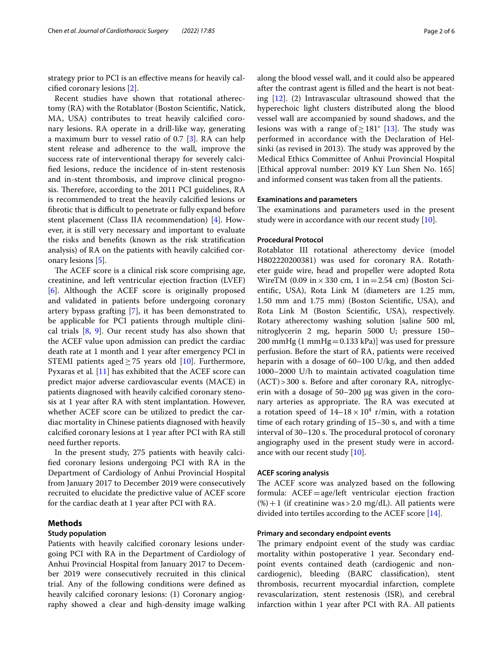strategy prior to PCI is an efective means for heavily calcifed coronary lesions [[2\]](#page-5-1).

Recent studies have shown that rotational atherectomy (RA) with the Rotablator (Boston Scientifc, Natick, MA, USA) contributes to treat heavily calcifed coronary lesions. RA operate in a drill-like way, generating a maximum burr to vessel ratio of 0.7 [\[3](#page-5-2)]. RA can help stent release and adherence to the wall, improve the success rate of interventional therapy for severely calcifed lesions, reduce the incidence of in-stent restenosis and in-stent thrombosis, and improve clinical prognosis. Therefore, according to the 2011 PCI guidelines, RA is recommended to treat the heavily calcifed lesions or fibrotic that is difficult to penetrate or fully expand before stent placement (Class IIA recommendation) [\[4](#page-5-3)]. However, it is still very necessary and important to evaluate the risks and benefts (known as the risk stratifcation analysis) of RA on the patients with heavily calcifed coronary lesions [\[5\]](#page-5-4).

The ACEF score is a clinical risk score comprising age, creatinine, and left ventricular ejection fraction (LVEF) [[6\]](#page-5-5). Although the ACEF score is originally proposed and validated in patients before undergoing coronary artery bypass grafting [[7\]](#page-5-6), it has been demonstrated to be applicable for PCI patients through multiple clinical trials [[8,](#page-5-7) [9](#page-5-8)]. Our recent study has also shown that the ACEF value upon admission can predict the cardiac death rate at 1 month and 1 year after emergency PCI in STEMI patients aged $\geq$  75 years old [\[10](#page-5-9)]. Furthermore, Pyxaras et al*.* [[11\]](#page-5-10) has exhibited that the ACEF score can predict major adverse cardiovascular events (MACE) in patients diagnosed with heavily calcifed coronary stenosis at 1 year after RA with stent implantation. However, whether ACEF score can be utilized to predict the cardiac mortality in Chinese patients diagnosed with heavily calcifed coronary lesions at 1 year after PCI with RA still need further reports.

In the present study, 275 patients with heavily calcifed coronary lesions undergoing PCI with RA in the Department of Cardiology of Anhui Provincial Hospital from January 2017 to December 2019 were consecutively recruited to elucidate the predictive value of ACEF score for the cardiac death at 1 year after PCI with RA.

# **Methods**

# **Study population**

Patients with heavily calcifed coronary lesions undergoing PCI with RA in the Department of Cardiology of Anhui Provincial Hospital from January 2017 to December 2019 were consecutively recruited in this clinical trial. Any of the following conditions were defned as heavily calcified coronary lesions: (1) Coronary angiography showed a clear and high-density image walking along the blood vessel wall, and it could also be appeared after the contrast agent is flled and the heart is not beating [\[12](#page-5-11)]. (2) Intravascular ultrasound showed that the hyperechoic light clusters distributed along the blood vessel wall are accompanied by sound shadows, and the lesions was with a range of  $\geq$  181° [[13\]](#page-5-12). The study was performed in accordance with the Declaration of Helsinki (as revised in 2013). The study was approved by the Medical Ethics Committee of Anhui Provincial Hospital [Ethical approval number: 2019 KY Lun Shen No. 165] and informed consent was taken from all the patients.

## **Examinations and parameters**

The examinations and parameters used in the present study were in accordance with our recent study [\[10](#page-5-9)].

# **Procedural Protocol**

Rotablator III rotational atherectomy device (model H802220200381) was used for coronary RA. Rotatheter guide wire, head and propeller were adopted Rota WireTM (0.09 in  $\times$  330 cm, 1 in = 2.54 cm) (Boston Scientifc, USA), Rota Link M (diameters are 1.25 mm, 1.50 mm and 1.75 mm) (Boston Scientifc, USA), and Rota Link M (Boston Scientifc, USA), respectively. Rotary atherectomy washing solution [saline 500 ml, nitroglycerin 2 mg, heparin 5000 U; pressure 150– 200 mmHg  $(1 \text{ mmHg}=0.133 \text{ kPa})$ ] was used for pressure perfusion. Before the start of RA, patients were received heparin with a dosage of 60–100 U/kg, and then added 1000–2000 U/h to maintain activated coagulation time  $(ACT) > 300$  s. Before and after coronary RA, nitroglycerin with a dosage of 50–200 μg was given in the coronary arteries as appropriate. The RA was executed at a rotation speed of  $14-18 \times 10^4$  r/min, with a rotation time of each rotary grinding of 15–30 s, and with a time interval of 30-120 s. The procedural protocol of coronary angiography used in the present study were in accordance with our recent study [\[10](#page-5-9)].

### **ACEF scoring analysis**

The ACEF score was analyzed based on the following formula:  $ACEF = age/left$  ventricular ejection fraction  $(\%) + 1$  (if creatinine was > 2.0 mg/dL). All patients were divided into tertiles according to the ACEF score [[14\]](#page-5-13).

## **Primary and secondary endpoint events**

The primary endpoint event of the study was cardiac mortality within postoperative 1 year. Secondary endpoint events contained death (cardiogenic and noncardiogenic), bleeding (BARC classifcation), stent thrombosis, recurrent myocardial infarction, complete revascularization, stent restenosis (ISR), and cerebral infarction within 1 year after PCI with RA. All patients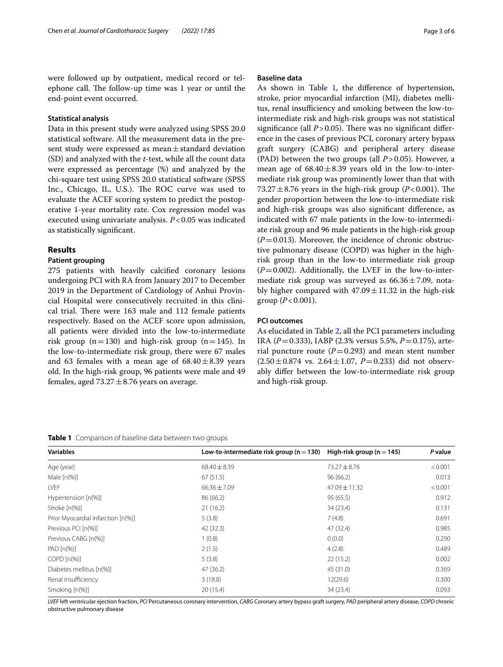were followed up by outpatient, medical record or telephone call. The follow-up time was 1 year or until the end-point event occurred.

#### **Statistical analysis**

Data in this present study were analyzed using SPSS 20.0 statistical software. All the measurement data in the present study were expressed as mean $\pm$ standard deviation (SD) and analyzed with the *t*-test, while all the count data were expressed as percentage (%) and analyzed by the chi-square test using SPSS 20.0 statistical software (SPSS Inc., Chicago, IL, U.S.). The ROC curve was used to evaluate the ACEF scoring system to predict the postoperative 1-year mortality rate. Cox regression model was executed using univariate analysis. *P*<0.05 was indicated as statistically signifcant.

# **Results**

#### **Patient grouping**

275 patients with heavily calcifed coronary lesions undergoing PCI with RA from January 2017 to December 2019 in the Department of Cardiology of Anhui Provincial Hospital were consecutively recruited in this clinical trial. There were 163 male and 112 female patients respectively. Based on the ACEF score upon admission, all patients were divided into the low-to-intermediate risk group ( $n=130$ ) and high-risk group ( $n=145$ ). In the low-to-intermediate risk group, there were 67 males and 63 females with a mean age of  $68.40 \pm 8.39$  years old. In the high-risk group, 96 patients were male and 49 females, aged  $73.27 \pm 8.76$  years on average.

#### **Baseline data**

As shown in Table [1](#page-2-0), the difference of hypertension, stroke, prior myocardial infarction (MI), diabetes mellitus, renal insufficiency and smoking between the low-tointermediate risk and high-risk groups was not statistical significance (all  $P > 0.05$ ). There was no significant difference in the cases of previous PCI, coronary artery bypass graft surgery (CABG) and peripheral artery disease (PAD) between the two groups (all *P*>0.05). However, a mean age of  $68.40 \pm 8.39$  years old in the low-to-intermediate risk group was prominently lower than that with  $73.27 \pm 8.76$  years in the high-risk group ( $P < 0.001$ ). The gender proportion between the low-to-intermediate risk and high-risk groups was also signifcant diference, as indicated with 67 male patients in the low-to-intermediate risk group and 96 male patients in the high-risk group  $(P=0.013)$ . Moreover, the incidence of chronic obstructive pulmonary disease (COPD) was higher in the highrisk group than in the low-to intermediate risk group  $(P=0.002)$ . Additionally, the LVEF in the low-to-intermediate risk group was surveyed as  $66.36 \pm 7.09$ , notably higher compared with  $47.09 \pm 11.32$  in the high-risk group  $(P < 0.001)$ .

## **PCI outcomes**

As elucidated in Table [2](#page-3-0), all the PCI parameters including IRA (*P*=0.333), IABP (2.3% versus 5.5%, *P*=0.175), arterial puncture route  $(P=0.293)$  and mean stent number  $(2.50 \pm 0.874 \text{ vs. } 2.64 \pm 1.07, P=0.233)$  did not observably difer between the low-to-intermediate risk group and high-risk group.

<span id="page-2-0"></span>**Table 1** Comparison of baseline data between two groups

| <b>Variables</b>                   | Low-to-intermediate risk group ( $n = 130$ ) High-risk group ( $n = 145$ ) |                   | P value |
|------------------------------------|----------------------------------------------------------------------------|-------------------|---------|
| Age (year)                         | $68.40 \pm 8.39$                                                           | $73.27 \pm 8.76$  | < 0.001 |
| Male $[n(\%)]$                     | 67(51.5)                                                                   | 96(66.2)          | 0.013   |
| <b>LVEF</b>                        | $66.36 \pm 7.09$                                                           | $47.09 \pm 11.32$ | < 0.001 |
| Hypertension [n(%)]                | 86 (66.2)                                                                  | 95(65.5)          | 0.912   |
| Stroke [n(%)]                      | 21(16.2)                                                                   | 34 (23.4)         | 0.131   |
| Prior Myocardial infarction [n(%)] | 5(3.8)                                                                     | 7(4.8)            | 0.691   |
| Previous PCI [n(%)]                | 42 (32.3)                                                                  | 47 (32.4)         | 0.985   |
| Previous CABG [n(%)]               | 1(0.8)                                                                     | 0(0.0)            | 0.290   |
| $PAD[n(\%)]$                       | 2(1.5)                                                                     | 4(2.8)            | 0.489   |
| $COPD[n(\%)]$                      | 5(3.8)                                                                     | 22(15.2)          | 0.002   |
| Diabetes mellitus [n(%)]           | 47(36.2)                                                                   | 45 (31.0)         | 0.369   |
| Renal insufficiency                | 3(18.8)                                                                    | 12(29.6)          | 0.300   |
| Smoking [n(%)]                     | 20(15.4)                                                                   | 34 (23.4)         | 0.093   |

*LVEF* left ventricular ejection fraction, *PCI* Percutaneous coronary intervention, *CABG* Coronary artery bypass graft surgery, *PAD* peripheral artery disease, *COPD* chronic obstructive pulmonary disease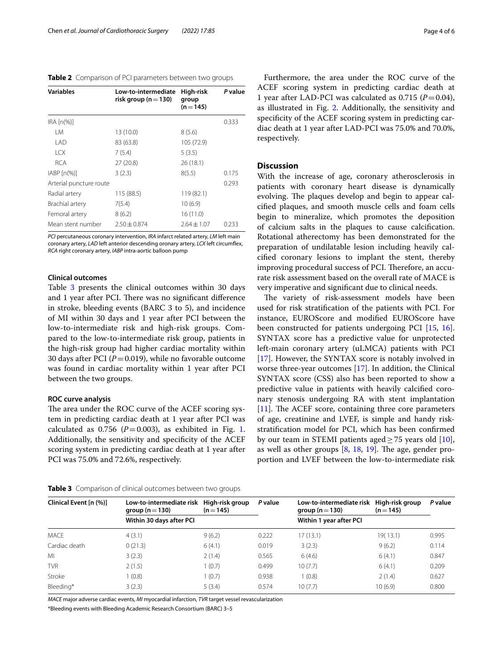<span id="page-3-0"></span>

|  |  |  | <b>Table 2</b> Comparison of PCI parameters between two groups |
|--|--|--|----------------------------------------------------------------|
|--|--|--|----------------------------------------------------------------|

| <b>Variables</b>                                 | Low-to-intermediate<br>risk group (n $=$ 130) | High-risk<br>group<br>$(n=145)$ | P value |
|--------------------------------------------------|-----------------------------------------------|---------------------------------|---------|
| IRA [n(%)]                                       |                                               |                                 | 0.333   |
| I M                                              | 13 (10.0)                                     | 8(5.6)                          |         |
| <b>I AD</b>                                      | 83 (63.8)                                     | 105 (72.9)                      |         |
| ICX                                              | 7(5.4)                                        | 5(3.5)                          |         |
| <b>RCA</b>                                       | 27(20.8)                                      | 26 (18.1)                       |         |
| $IABP$ $\lceil n\left(\frac{9}{6}\right) \rceil$ | 3(2.3)                                        | 8(5.5)                          | 0.175   |
| Arterial puncture route                          |                                               |                                 | 0.293   |
| Radial artery                                    | 115 (88.5)                                    | 119 (82.1)                      |         |
| Brachial artery                                  | 7(5.4)                                        | 10(6.9)                         |         |
| Femoral artery                                   | 8(6.2)                                        | 16(11.0)                        |         |
| Mean stent number                                | $2.50 \pm 0.874$                              | $2.64 \pm 1.07$                 | 0.233   |

*PCI* percutaneous coronary intervention, *IRA* infarct related artery, *LM* left main coronary artery, *LAD* left anterior descending oronary artery, *LCX* left circumfex, *RCA* right coronary artery, *IABP* intra-aortic balloon pump

# **Clinical outcomes**

Table [3](#page-3-1) presents the clinical outcomes within 30 days and 1 year after PCI. There was no significant difference in stroke, bleeding events (BARC 3 to 5), and incidence of MI within 30 days and 1 year after PCI between the low-to-intermediate risk and high-risk groups. Compared to the low-to-intermediate risk group, patients in the high-risk group had higher cardiac mortality within 30 days after PCI ( $P = 0.019$ ), while no favorable outcome was found in cardiac mortality within 1 year after PCI between the two groups.

## **ROC curve analysis**

The area under the ROC curve of the ACEF scoring system in predicting cardiac death at 1 year after PCI was calculated as  $0.756$  ( $P=0.003$ ), as exhibited in Fig. [1](#page-4-0). Additionally, the sensitivity and specifcity of the ACEF scoring system in predicting cardiac death at 1 year after PCI was 75.0% and 72.6%, respectively.

<span id="page-3-1"></span>

|  | Table 3 Comparison of clinical outcomes between two groups |  |  |  |  |
|--|------------------------------------------------------------|--|--|--|--|
|--|------------------------------------------------------------|--|--|--|--|

Furthermore, the area under the ROC curve of the ACEF scoring system in predicting cardiac death at 1 year after LAD-PCI was calculated as  $0.715$  ( $P=0.04$ ), as illustrated in Fig. [2](#page-4-1). Additionally, the sensitivity and specifcity of the ACEF scoring system in predicting cardiac death at 1 year after LAD-PCI was 75.0% and 70.0%, respectively.

# **Discussion**

With the increase of age, coronary atherosclerosis in patients with coronary heart disease is dynamically evolving. The plaques develop and begin to appear calcifed plaques, and smooth muscle cells and foam cells begin to mineralize, which promotes the deposition of calcium salts in the plaques to cause calcifcation. Rotational atherectomy has been demonstrated for the preparation of undilatable lesion including heavily calcifed coronary lesions to implant the stent, thereby improving procedural success of PCI. Therefore, an accurate risk assessment based on the overall rate of MACE is very imperative and signifcant due to clinical needs.

The variety of risk-assessment models have been used for risk stratifcation of the patients with PCI. For instance, EUROScore and modifed EUROScore have been constructed for patients undergoing PCI [\[15](#page-5-14), [16](#page-5-15)]. SYNTAX score has a predictive value for unprotected left-main coronary artery (uLMCA) patients with PCI [[17\]](#page-5-16). However, the SYNTAX score is notably involved in worse three-year outcomes [\[17](#page-5-16)]. In addition, the Clinical SYNTAX score (CSS) also has been reported to show a predictive value in patients with heavily calcifed coronary stenosis undergoing RA with stent implantation  $[11]$  $[11]$ . The ACEF score, containing three core parameters of age, creatinine and LVEF, is simple and handy riskstratifcation model for PCI, which has been confrmed by our team in STEMI patients aged  $\geq$  75 years old [\[10](#page-5-9)], as well as other groups  $[8, 18, 19]$  $[8, 18, 19]$  $[8, 18, 19]$  $[8, 18, 19]$  $[8, 18, 19]$  $[8, 18, 19]$ . The age, gender proportion and LVEF between the low-to-intermediate risk

| Clinical Event [n (%)] | Low-to-intermediate risk High-risk group<br>group ( $n = 130$ ) | $(n=145)$ | P value | Low-to-intermediate risk<br>group ( $n = 130$ ) | High-risk group<br>$(n=145)$ | P value |
|------------------------|-----------------------------------------------------------------|-----------|---------|-------------------------------------------------|------------------------------|---------|
|                        | Within 30 days after PCI                                        |           |         | Within 1 year after PCI                         |                              |         |
| MACE                   | 4(3.1)                                                          | 9(6.2)    | 0.222   | 17(13.1)                                        | 19(13.1)                     | 0.995   |
| Cardiac death          | 0(21.3)                                                         | 6(4.1)    | 0.019   | 3(2.3)                                          | 9(6.2)                       | 0.114   |
| MI                     | 3(2.3)                                                          | 2(1.4)    | 0.565   | 6(4.6)                                          | 6(4.1)                       | 0.847   |
| <b>TVR</b>             | 2(1.5)                                                          | 1(0.7)    | 0.499   | 10(7.7)                                         | 6(4.1)                       | 0.209   |
| Stroke                 | (0.8)                                                           | 1(0.7)    | 0.938   | 1(0.8)                                          | 2(1.4)                       | 0.627   |
| Bleeding*              | 3(2.3)                                                          | 5(3.4)    | 0.574   | 10(7.7)                                         | 10(6.9)                      | 0.800   |

*MACE* major adverse cardiac events, *MI* myocardial infarction, *TVR* target vessel revascularization

\*Bleeding events with Bleeding Academic Research Consortium (BARC) 3–5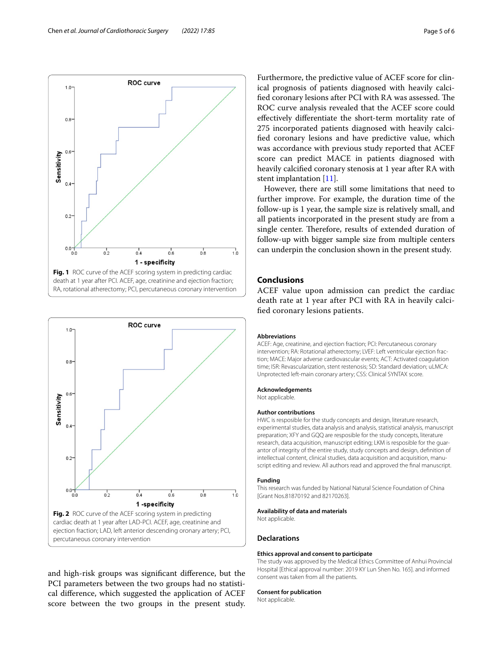

<span id="page-4-0"></span>

<span id="page-4-1"></span>and high-risk groups was signifcant diference, but the PCI parameters between the two groups had no statistical diference, which suggested the application of ACEF score between the two groups in the present study.

Furthermore, the predictive value of ACEF score for clinical prognosis of patients diagnosed with heavily calcified coronary lesions after PCI with RA was assessed. The ROC curve analysis revealed that the ACEF score could efectively diferentiate the short-term mortality rate of 275 incorporated patients diagnosed with heavily calcifed coronary lesions and have predictive value, which was accordance with previous study reported that ACEF score can predict MACE in patients diagnosed with heavily calcifed coronary stenosis at 1 year after RA with stent implantation [\[11](#page-5-10)].

However, there are still some limitations that need to further improve. For example, the duration time of the follow-up is 1 year, the sample size is relatively small, and all patients incorporated in the present study are from a single center. Therefore, results of extended duration of follow-up with bigger sample size from multiple centers can underpin the conclusion shown in the present study.

# **Conclusions**

ACEF value upon admission can predict the cardiac death rate at 1 year after PCI with RA in heavily calcifed coronary lesions patients.

#### **Abbreviations**

ACEF: Age, creatinine, and ejection fraction; PCI: Percutaneous coronary intervention; RA: Rotational atherectomy; LVEF: Left ventricular ejection fraction; MACE: Major adverse cardiovascular events; ACT: Activated coagulation time; ISR: Revascularization, stent restenosis; SD: Standard deviation; uLMCA: Unprotected left-main coronary artery; CSS: Clinical SYNTAX score.

#### **Acknowledgements**

Not applicable.

#### **Author contributions**

HWC is resposible for the study concepts and design, literature research, experimental studies, data analysis and analysis, statistical analysis, manuscript preparation; XFY and GQQ are resposible for the study concepts, literature research, data acquisition, manuscript editing; LKM is resposible for the guarantor of integrity of the entire study, study concepts and design, defnition of intellectual content, clinical studies, data acquisition and acquisition, manuscript editing and review. All authors read and approved the fnal manuscript.

#### **Funding**

This research was funded by National Natural Science Foundation of China [Grant Nos.81870192 and 82170263].

#### **Availability of data and materials**

Not applicable.

### **Declarations**

#### **Ethics approval and consent to participate**

The study was approved by the Medical Ethics Committee of Anhui Provincial Hospital [Ethical approval number: 2019 KY Lun Shen No. 165]. and informed consent was taken from all the patients.

#### **Consent for publication**

Not applicable.